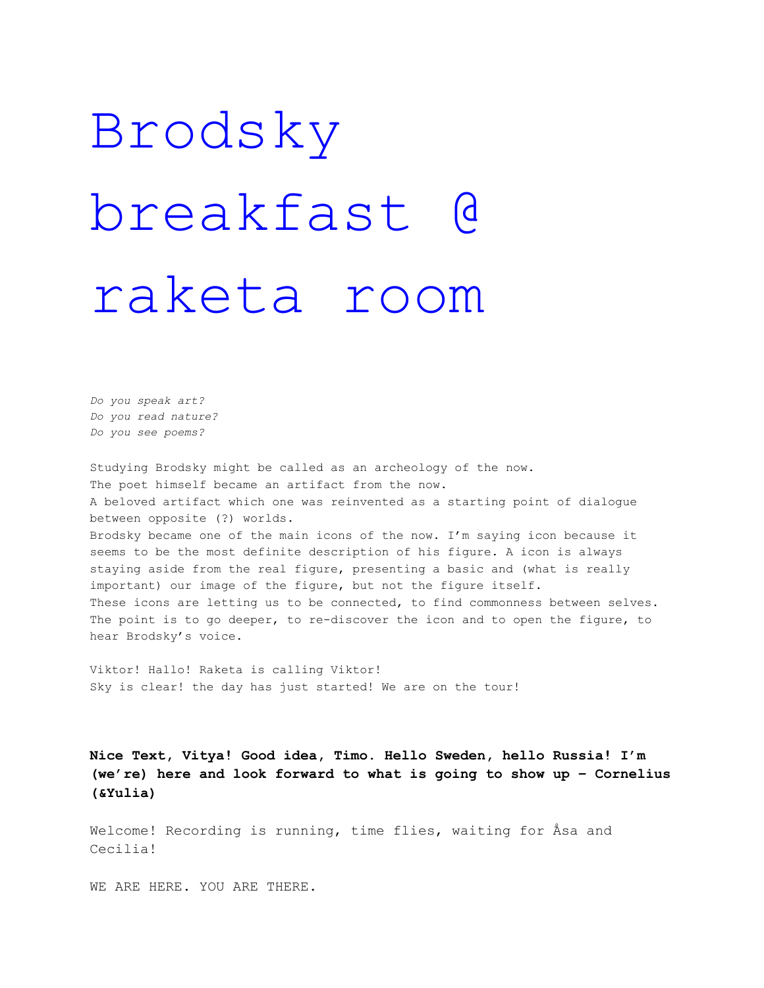## Brodsky breakfast @ raketa room

*Do you speak art? Do you read nature? Do you see poems?*

Studying Brodsky might be called as an archeology of the now. The poet himself became an artifact from the now. A beloved artifact which one was reinvented as a starting point of dialogue between opposite (?) worlds. Brodsky became one of the main icons of the now. I'm saying icon because it seems to be the most definite description of his figure. A icon is always staying aside from the real figure, presenting a basic and (what is really important) our image of the figure, but not the figure itself. These icons are letting us to be connected, to find commonness between selves. The point is to go deeper, to re-discover the icon and to open the figure, to hear Brodsky's voice.

Viktor! Hallo! Raketa is calling Viktor! Sky is clear! the day has just started! We are on the tour!

**Nice Text, Vitya! Good idea, Timo. Hello Sweden, hello Russia! I'm (we're) here and look forward to what is going to show up – Cornelius (&Yulia)**

Welcome! Recording is running, time flies, waiting for Åsa and Cecilia!

WE ARE HERE. YOU ARE THERE.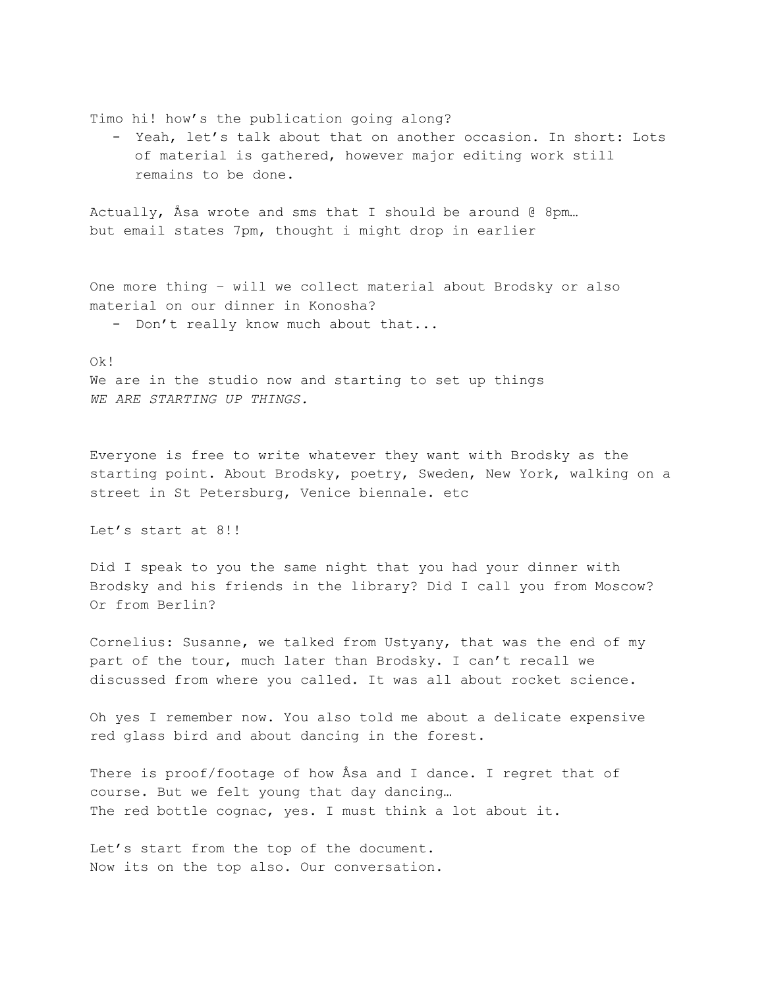Timo hi! how's the publication going along?

- Yeah, let's talk about that on another occasion. In short: Lots of material is gathered, however major editing work still remains to be done.

Actually, Åsa wrote and sms that I should be around  $@$  8pm... but email states 7pm, thought i might drop in earlier

One more thing – will we collect material about Brodsky or also material on our dinner in Konosha?

- Don't really know much about that...

#### Ok!

We are in the studio now and starting to set up things *WE ARE STARTING UP THINGS.*

Everyone is free to write whatever they want with Brodsky as the starting point. About Brodsky, poetry, Sweden, New York, walking on a street in St Petersburg, Venice biennale. etc

Let's start at 8!!

Did I speak to you the same night that you had your dinner with Brodsky and his friends in the library? Did I call you from Moscow? Or from Berlin?

Cornelius: Susanne, we talked from Ustyany, that was the end of my part of the tour, much later than Brodsky. I can't recall we discussed from where you called. It was all about rocket science.

Oh yes I remember now. You also told me about a delicate expensive red glass bird and about dancing in the forest.

There is proof/footage of how Åsa and I dance. I regret that of course. But we felt young that day dancing… The red bottle cognac, yes. I must think a lot about it.

Let's start from the top of the document. Now its on the top also. Our conversation.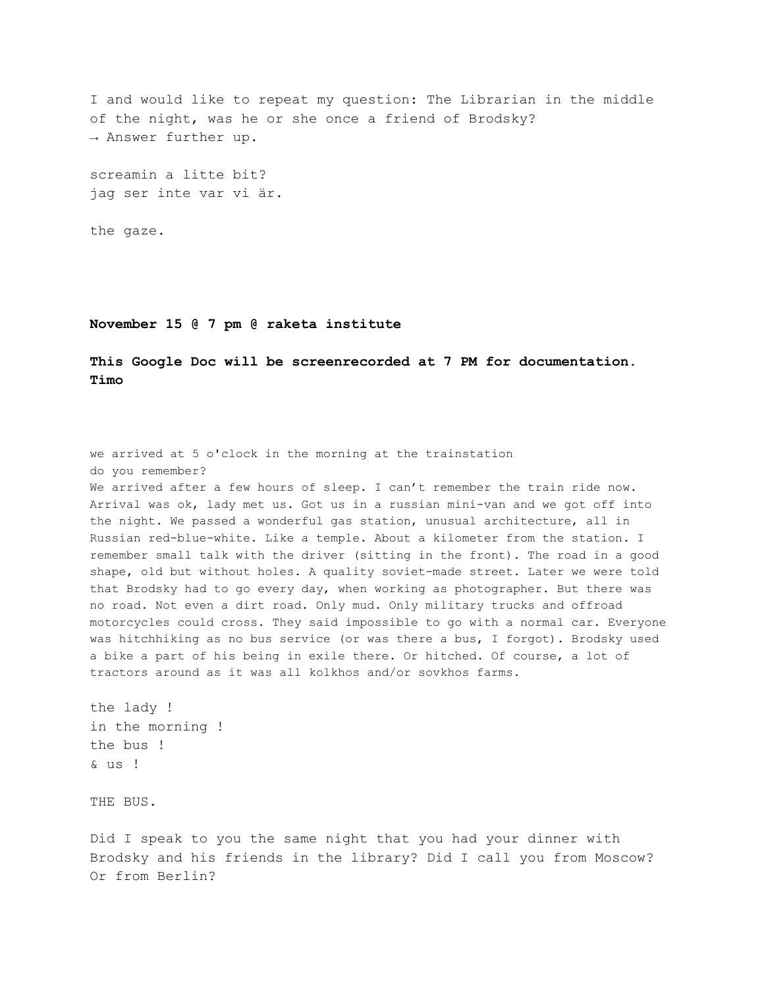I and would like to repeat my question: The Librarian in the middle of the night, was he or she once a friend of Brodsky? → Answer further up.

screamin a litte bit? jag ser inte var vi är.

the gaze.

**November 15 @ 7 pm @ raketa institute**

**This Google Doc will be screenrecorded at 7 PM for documentation. Timo**

we arrived at 5 o'clock in the morning at the trainstation do you remember? We arrived after a few hours of sleep. I can't remember the train ride now. Arrival was ok, lady met us. Got us in a russian mini-van and we got off into the night. We passed a wonderful gas station, unusual architecture, all in Russian red-blue-white. Like a temple. About a kilometer from the station. I remember small talk with the driver (sitting in the front). The road in a good shape, old but without holes. A quality soviet-made street. Later we were told that Brodsky had to go every day, when working as photographer. But there was no road. Not even a dirt road. Only mud. Only military trucks and offroad motorcycles could cross. They said impossible to go with a normal car. Everyone was hitchhiking as no bus service (or was there a bus, I forgot). Brodsky used a bike a part of his being in exile there. Or hitched. Of course, a lot of tractors around as it was all kolkhos and/or sovkhos farms.

the lady ! in the morning ! the bus ! & us !

THE BUS.

Did I speak to you the same night that you had your dinner with Brodsky and his friends in the library? Did I call you from Moscow? Or from Berlin?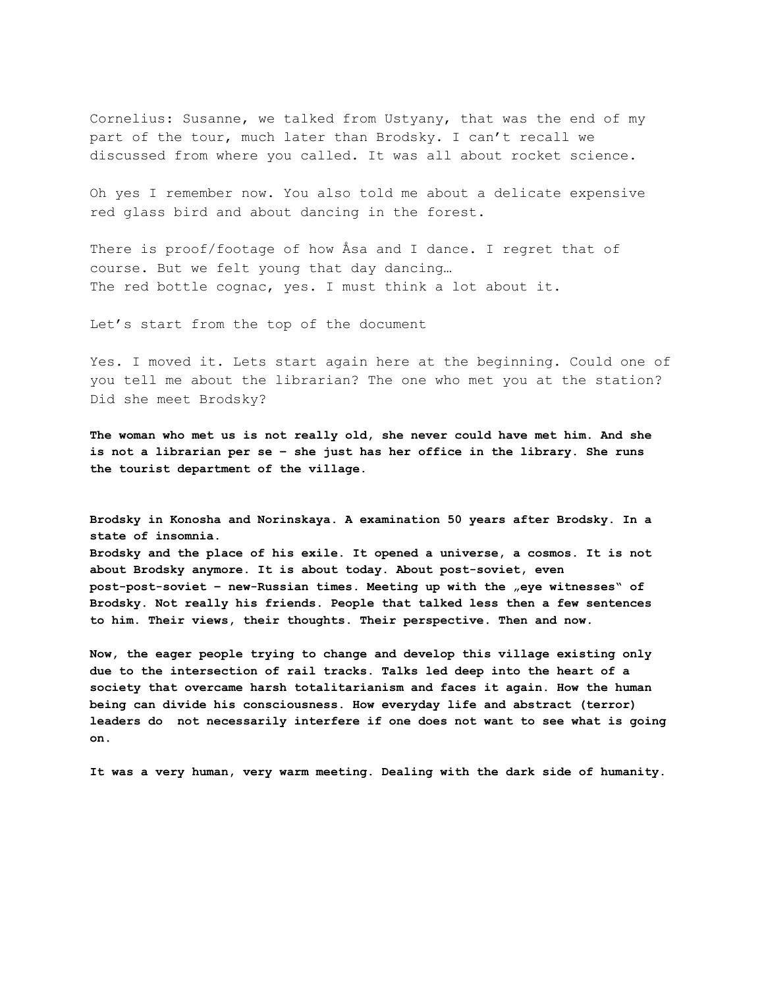Cornelius: Susanne, we talked from Ustyany, that was the end of my part of the tour, much later than Brodsky. I can't recall we discussed from where you called. It was all about rocket science.

Oh yes I remember now. You also told me about a delicate expensive red glass bird and about dancing in the forest.

There is proof/footage of how Åsa and I dance. I regret that of course. But we felt young that day dancing… The red bottle cognac, yes. I must think a lot about it.

Let's start from the top of the document

Yes. I moved it. Lets start again here at the beginning. Could one of you tell me about the librarian? The one who met you at the station? Did she meet Brodsky?

**The woman who met us is not really old, she never could have met him. And she is not a librarian per se – she just has her office in the library. She runs the tourist department of the village.**

**Brodsky in Konosha and Norinskaya. A examination 50 years after Brodsky. In a state of insomnia.**

**Brodsky and the place of his exile. It opened a universe, a cosmos. It is not about Brodsky anymore. It is about today. About post-soviet, even post-post-soviet – new-Russian times. Meeting up with the "eye witnesses" of Brodsky. Not really his friends. People that talked less then a few sentences to him. Their views, their thoughts. Their perspective. Then and now.**

**Now, the eager people trying to change and develop this village existing only due to the intersection of rail tracks. Talks led deep into the heart of a society that overcame harsh totalitarianism and faces it again. How the human being can divide his consciousness. How everyday life and abstract (terror) leaders do not necessarily interfere if one does not want to see what is going on.**

**It was a very human, very warm meeting. Dealing with the dark side of humanity.**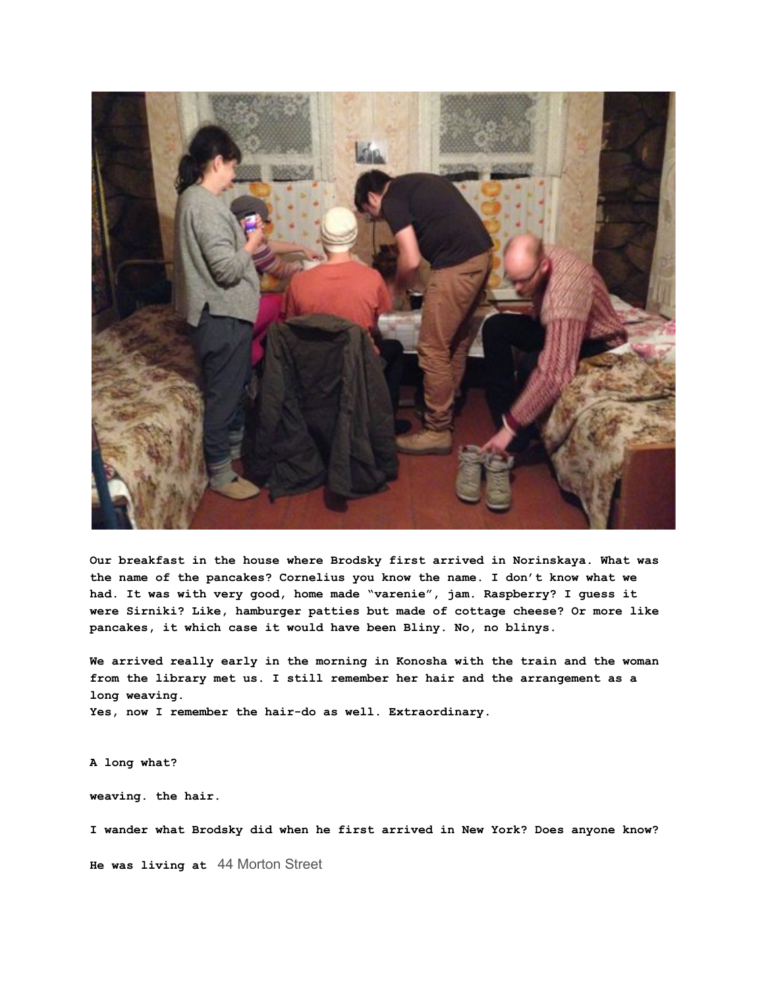

**Our breakfast in the house where Brodsky first arrived in Norinskaya. What was the name of the pancakes? Cornelius you know the name. I don't know what we had. It was with very good, home made "varenie", jam. Raspberry? I guess it were Sirniki? Like, hamburger patties but made of cottage cheese? Or more like pancakes, it which case it would have been Bliny. No, no blinys.**

**We arrived really early in the morning in Konosha with the train and the woman from the library met us. I still remember her hair and the arrangement as a long weaving. Yes, now I remember the hair-do as well. Extraordinary.**

**A long what?**

**weaving. the hair.**

**I wander what Brodsky did when he first arrived in New York? Does anyone know?**

**He was living at** 44 Morton Street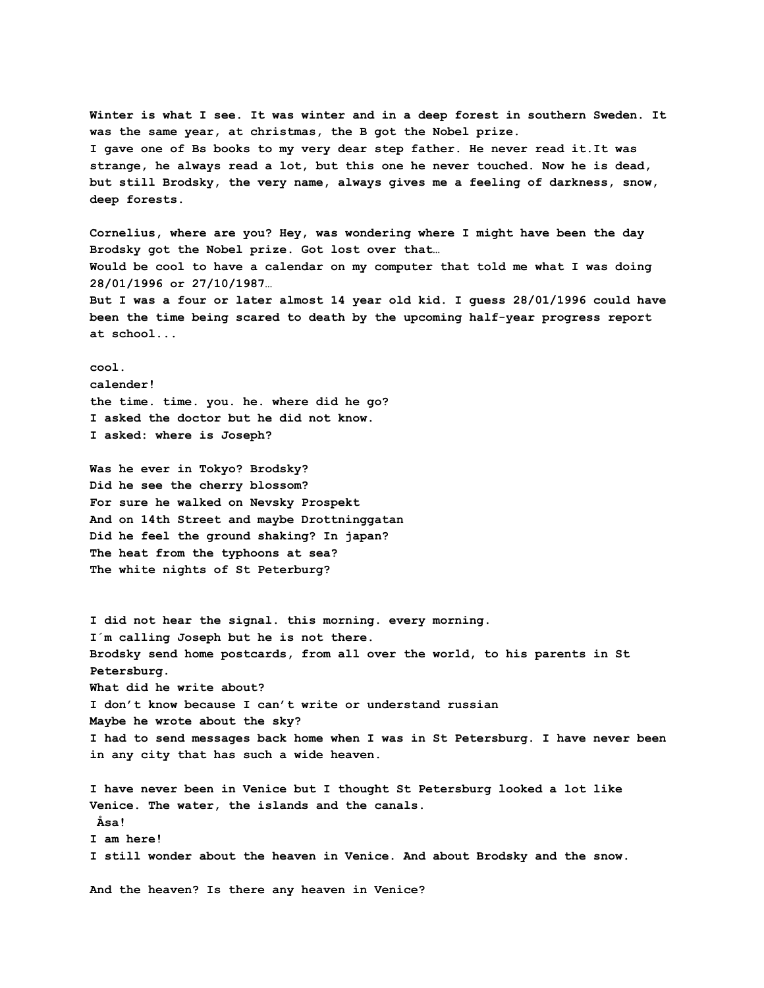**Winter is what I see. It was winter and in a deep forest in southern Sweden. It was the same year, at christmas, the B got the Nobel prize. I gave one of Bs books to my very dear step father. He never read it.It was strange, he always read a lot, but this one he never touched. Now he is dead, but still Brodsky, the very name, always gives me a feeling of darkness, snow, deep forests.**

**Cornelius, where are you? Hey, was wondering where I might have been the day Brodsky got the Nobel prize. Got lost over that… Would be cool to have a calendar on my computer that told me what I was doing 28/01/1996 or 27/10/1987… But I was a four or later almost 14 year old kid. I guess 28/01/1996 could have been the time being scared to death by the upcoming half-year progress report at school...**

**cool. calender! the time. time. you. he. where did he go? I asked the doctor but he did not know. I asked: where is Joseph?**

**Was he ever in Tokyo? Brodsky? Did he see the cherry blossom? For sure he walked on Nevsky Prospekt And on 14th Street and maybe Drottninggatan Did he feel the ground shaking? In japan? The heat from the typhoons at sea? The white nights of St Peterburg?**

**I did not hear the signal. this morning. every morning. I´m calling Joseph but he is not there. Brodsky send home postcards, from all over the world, to his parents in St Petersburg. What did he write about? I don't know because I can't write or understand russian Maybe he wrote about the sky? I had to send messages back home when I was in St Petersburg. I have never been in any city that has such a wide heaven.**

**I have never been in Venice but I thought St Petersburg looked a lot like Venice. The water, the islands and the canals. Åsa! I am here! I still wonder about the heaven in Venice. And about Brodsky and the snow.**

**And the heaven? Is there any heaven in Venice?**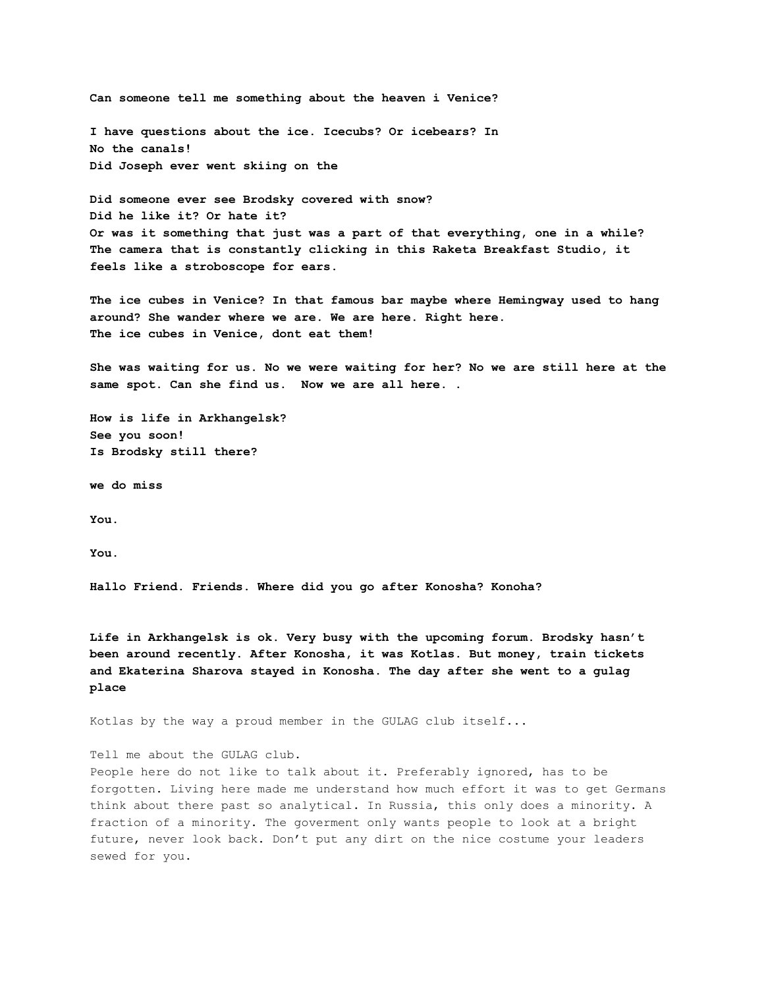**Can someone tell me something about the heaven i Venice? I have questions about the ice. Icecubs? Or icebears? In No the canals! Did Joseph ever went skiing on the Did someone ever see Brodsky covered with snow? Did he like it? Or hate it?**

**Or was it something that just was a part of that everything, one in a while? The camera that is constantly clicking in this Raketa Breakfast Studio, it feels like a stroboscope for ears.**

**The ice cubes in Venice? In that famous bar maybe where Hemingway used to hang around? She wander where we are. We are here. Right here. The ice cubes in Venice, dont eat them!**

**She was waiting for us. No we were waiting for her? No we are still here at the same spot. Can she find us. Now we are all here. .**

**How is life in Arkhangelsk? See you soon! Is Brodsky still there?**

**we do miss**

**You.**

**You.**

**Hallo Friend. Friends. Where did you go after Konosha? Konoha?**

**Life in Arkhangelsk is ok. Very busy with the upcoming forum. Brodsky hasn't been around recently. After Konosha, it was Kotlas. But money, train tickets and Ekaterina Sharova stayed in Konosha. The day after she went to a gulag place**

Kotlas by the way a proud member in the GULAG club itself...

Tell me about the GULAG club.

People here do not like to talk about it. Preferably ignored, has to be forgotten. Living here made me understand how much effort it was to get Germans think about there past so analytical. In Russia, this only does a minority. A fraction of a minority. The goverment only wants people to look at a bright future, never look back. Don't put any dirt on the nice costume your leaders sewed for you.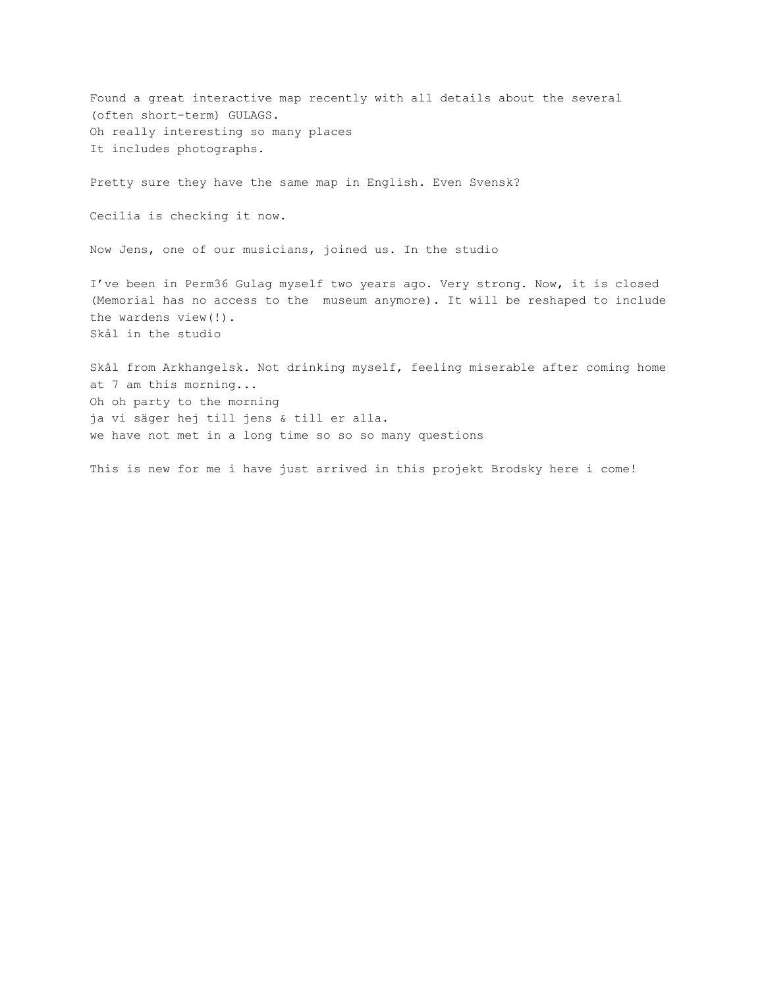Found a great interactive map recently with all details about the several (often short-term) GULAGS. Oh really interesting so many places It includes photographs.

Pretty sure they have the same map in English. Even Svensk?

Cecilia is checking it now.

Now Jens, one of our musicians, joined us. In the studio

I've been in Perm36 Gulag myself two years ago. Very strong. Now, it is closed (Memorial has no access to the museum anymore). It will be reshaped to include the wardens view(!). Skål in the studio

Skål from Arkhangelsk. Not drinking myself, feeling miserable after coming home at 7 am this morning... Oh oh party to the morning ja vi säger hej till jens & till er alla. we have not met in a long time so so so many questions

This is new for me i have just arrived in this projekt Brodsky here i come!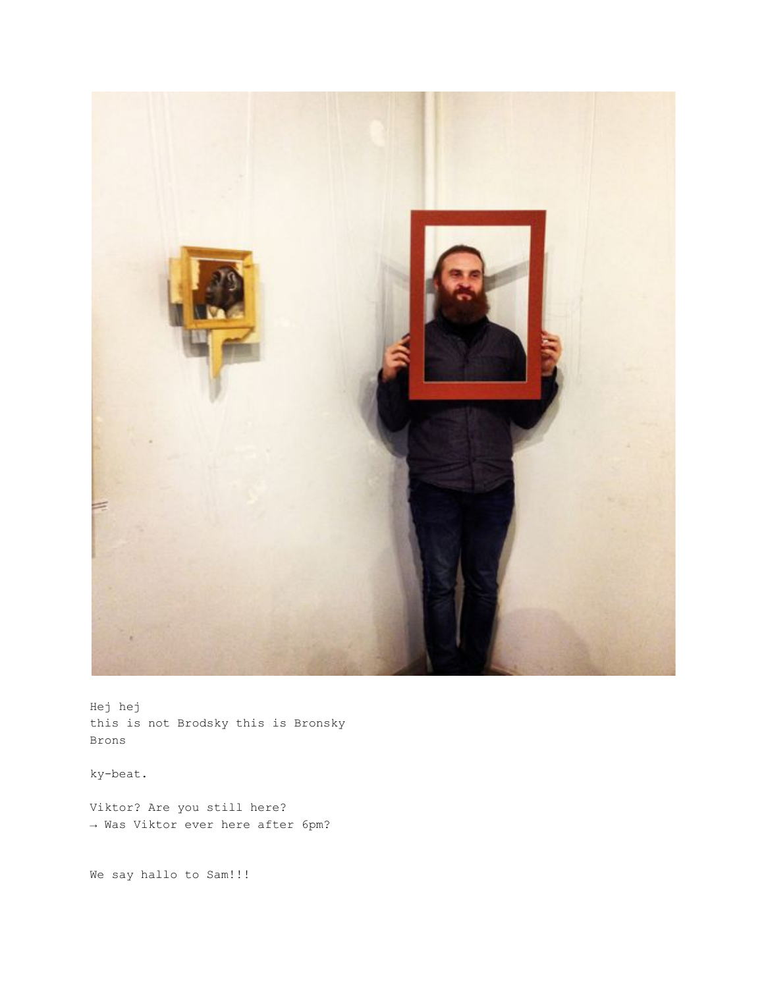

Hej hej this is not Brodsky this is Bronsky Brons

ky-beat.

Viktor? Are you still here? → Was Viktor ever here after 6pm?

We say hallo to Sam!!!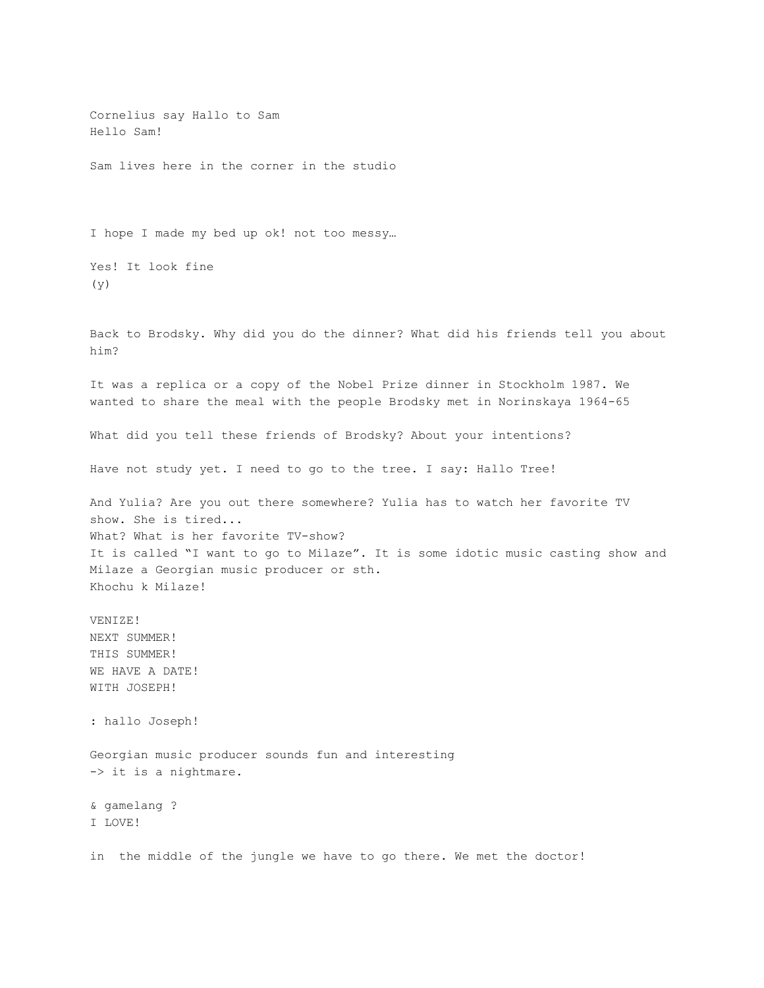Cornelius say Hallo to Sam Hello Sam! Sam lives here in the corner in the studio I hope I made my bed up ok! not too messy… Yes! It look fine (y) Back to Brodsky. Why did you do the dinner? What did his friends tell you about him? It was a replica or a copy of the Nobel Prize dinner in Stockholm 1987. We wanted to share the meal with the people Brodsky met in Norinskaya 1964-65 What did you tell these friends of Brodsky? About your intentions? Have not study yet. I need to go to the tree. I say: Hallo Tree! And Yulia? Are you out there somewhere? Yulia has to watch her favorite TV show. She is tired... What? What is her favorite TV-show? It is called "I want to go to Milaze". It is some idotic music casting show and Milaze a Georgian music producer or sth. Khochu k Milaze! VENIZE! NEXT SUMMER! THIS SUMMER! WE HAVE A DATE! WITH JOSEPH! : hallo Joseph! Georgian music producer sounds fun and interesting -> it is a nightmare. & gamelang ? I LOVE! in the middle of the jungle we have to go there. We met the doctor!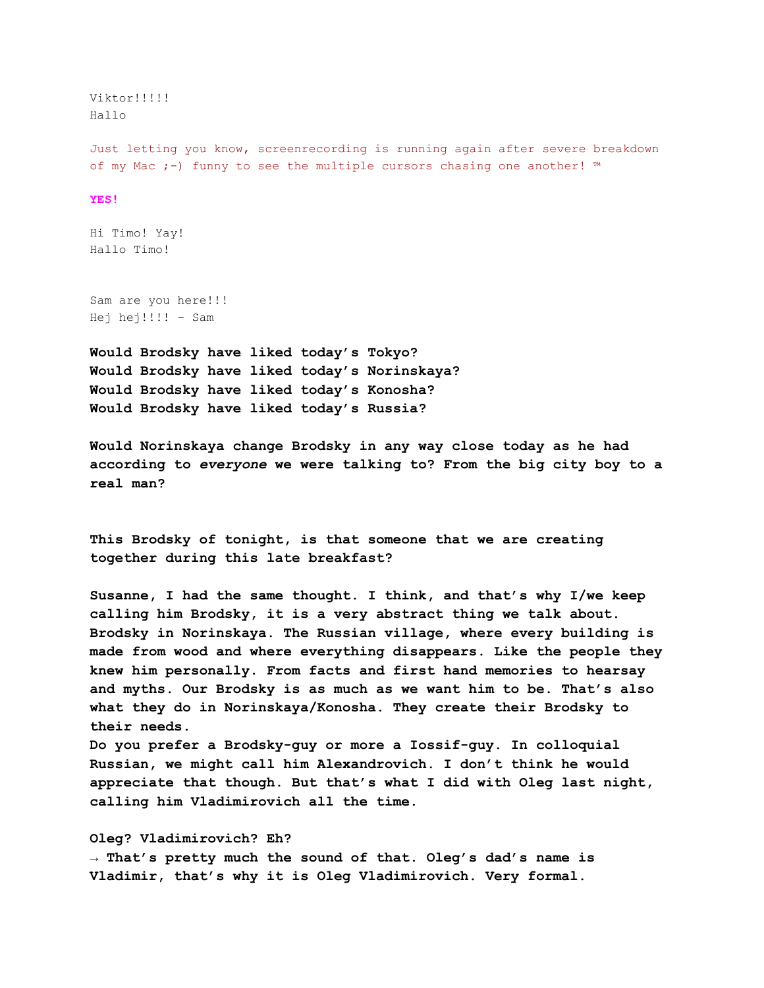Viktor!!!!! Hallo

Just letting you know, screenrecording is running again after severe breakdown of my Mac ;-) funny to see the multiple cursors chasing one another! ™

#### **YES!**

Hi Timo! Yay! Hallo Timo!

Sam are you here!!! Hej hej!!!! - Sam

**Would Brodsky have liked today's Tokyo? Would Brodsky have liked today's Norinskaya? Would Brodsky have liked today's Konosha? Would Brodsky have liked today's Russia?**

**Would Norinskaya change Brodsky in any way close today as he had according to** *everyone* **we were talking to? From the big city boy to a real man?**

**This Brodsky of tonight, is that someone that we are creating together during this late breakfast?**

**Susanne, I had the same thought. I think, and that's why I/we keep calling him Brodsky, it is a very abstract thing we talk about. Brodsky in Norinskaya. The Russian village, where every building is made from wood and where everything disappears. Like the people they knew him personally. From facts and first hand memories to hearsay and myths. Our Brodsky is as much as we want him to be. That's also what they do in Norinskaya/Konosha. They create their Brodsky to their needs.**

**Do you prefer a Brodsky-guy or more a Iossif-guy. In colloquial Russian, we might call him Alexandrovich. I don't think he would appreciate that though. But that's what I did with Oleg last night, calling him Vladimirovich all the time.**

#### **Oleg? Vladimirovich? Eh?**

**→ That's pretty much the sound of that. Oleg's dad's name is Vladimir, that's why it is Oleg Vladimirovich. Very formal.**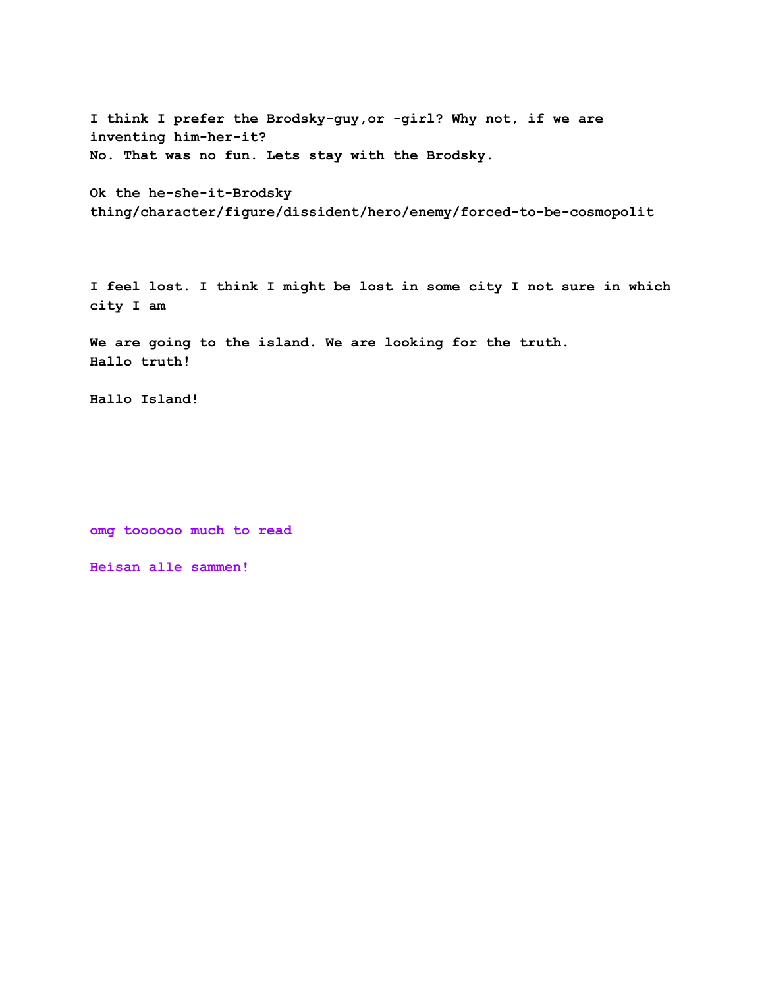**I think I prefer the Brodsky-guy,or -girl? Why not, if we are inventing him-her-it? No. That was no fun. Lets stay with the Brodsky.**

```
Ok the he-she-it-Brodsky
thing/character/figure/dissident/hero/enemy/forced-to-be-cosmopolit
```
**I feel lost. I think I might be lost in some city I not sure in which city I am**

**We are going to the island. We are looking for the truth. Hallo truth!**

**Hallo Island!**

**omg toooooo much to read**

**Heisan alle sammen!**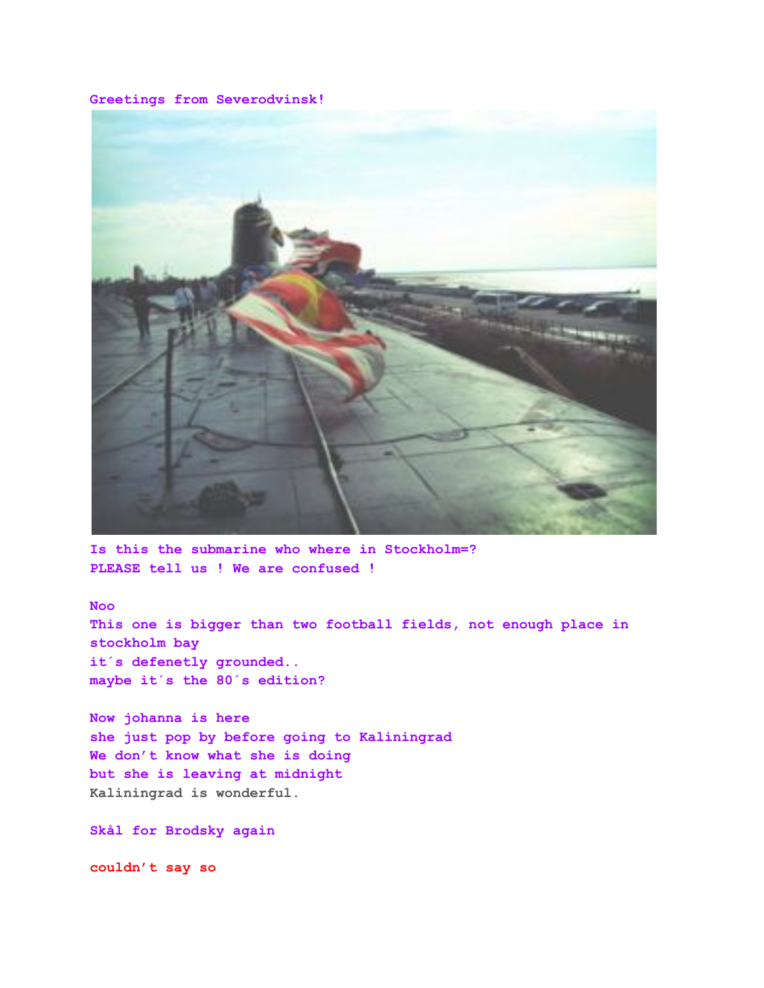**Greetings from Severodvinsk!**



**Is this the submarine who where in Stockholm=? PLEASE tell us ! We are confused !**

### **Noo**

**This one is bigger than two football fields, not enough place in stockholm bay it´s defenetly grounded.. maybe it´s the 80´s edition?**

**Now johanna is here she just pop by before going to Kaliningrad We don't know what she is doing but she is leaving at midnight Kaliningrad is wonderful.**

**Skål for Brodsky again**

**couldn't say so**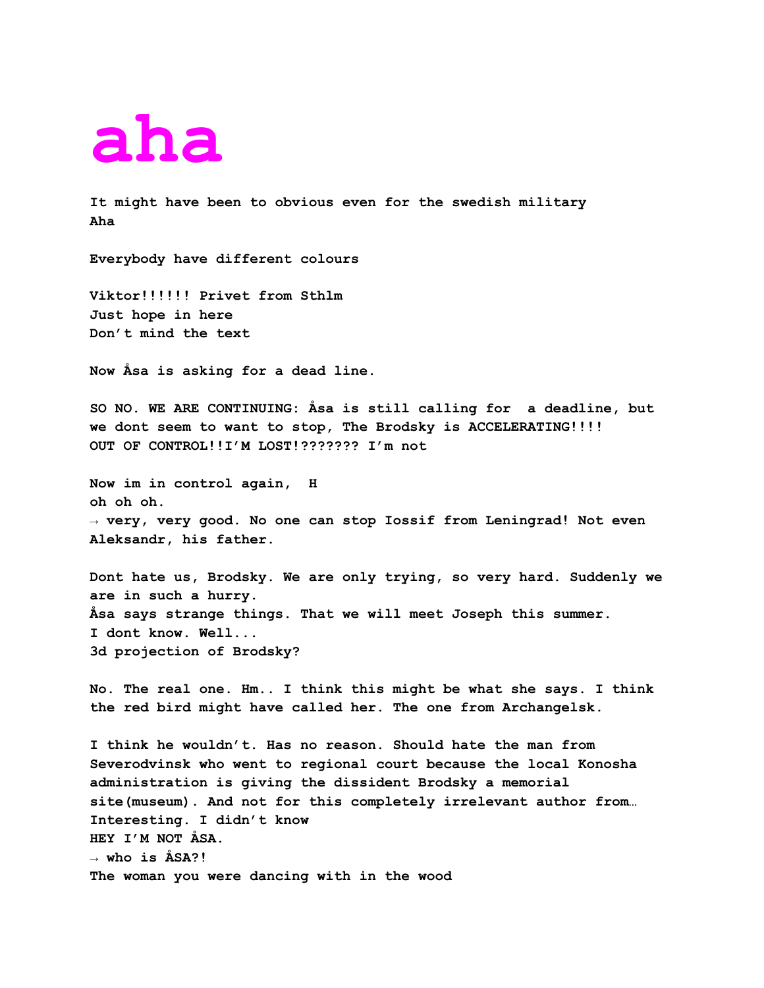## **aha**

**It might have been to obvious even for the swedish military Aha**

**Everybody have different colours**

**Viktor!!!!!! Privet from Sthlm Just hope in here Don't mind the text**

**Now Åsa is asking for a dead line.**

**SO NO. WE ARE CONTINUING: Åsa is still calling for a deadline, but we dont seem to want to stop, The Brodsky is ACCELERATING!!!! OUT OF CONTROL!!I'M LOST!??????? I'm not**

**Now im in control again, H oh oh oh. → very, very good. No one can stop Iossif from Leningrad! Not even Aleksandr, his father.**

**Dont hate us, Brodsky. We are only trying, so very hard. Suddenly we are in such a hurry. Åsa says strange things. That we will meet Joseph this summer. I dont know. Well... 3d projection of Brodsky?**

**No. The real one. Hm.. I think this might be what she says. I think the red bird might have called her. The one from Archangelsk.**

**I think he wouldn't. Has no reason. Should hate the man from Severodvinsk who went to regional court because the local Konosha administration is giving the dissident Brodsky a memorial site(museum). And not for this completely irrelevant author from… Interesting. I didn't know HEY I'M NOT ÅSA. → who is ÅSA?! The woman you were dancing with in the wood**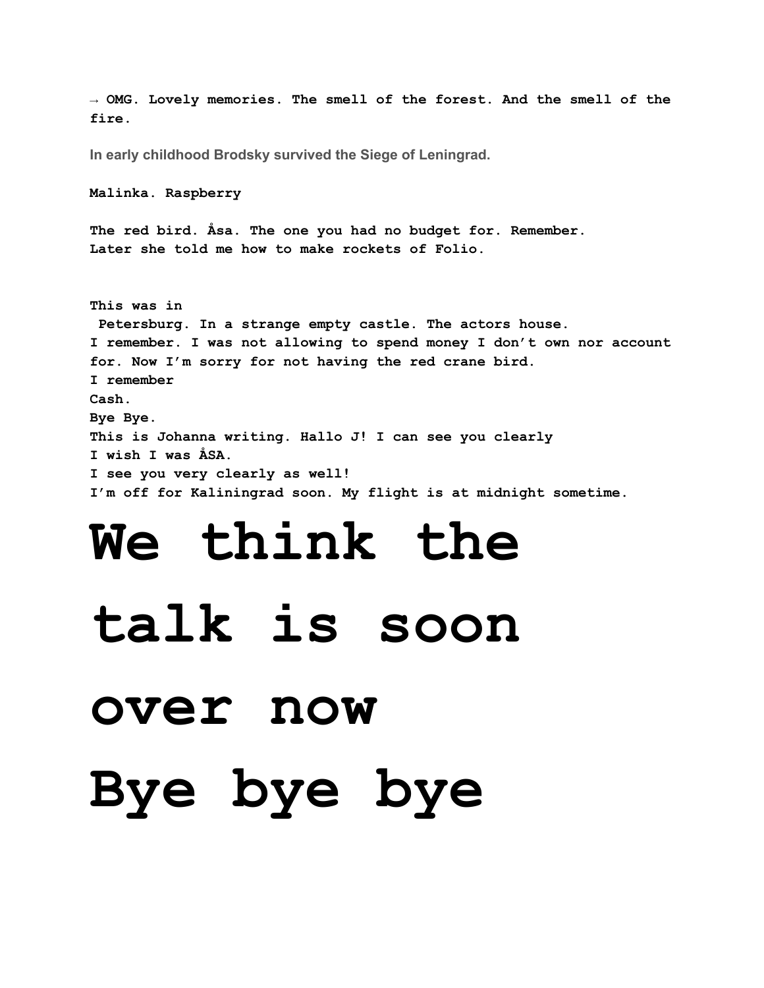# **Bye bye bye**

## **over now**

## **talk is soon**

### **I see you very clearly as well! I'm off for Kaliningrad soon. My flight is at midnight sometime. We think the**

**This was in Petersburg. In a strange empty castle. The actors house. I remember. I was not allowing to spend money I don't own nor account for. Now I'm sorry for not having the red crane bird. I remember Cash. Bye Bye. This is Johanna writing. Hallo J! I can see you clearly I wish I was ÅSA.**

**The red bird. Åsa. The one you had no budget for. Remember. Later she told me how to make rockets of Folio.**

**In early childhood Brodsky survived the Siege of Leningrad.**

**Malinka. Raspberry**

**→ OMG. Lovely memories. The smell of the forest. And the smell of the fire.**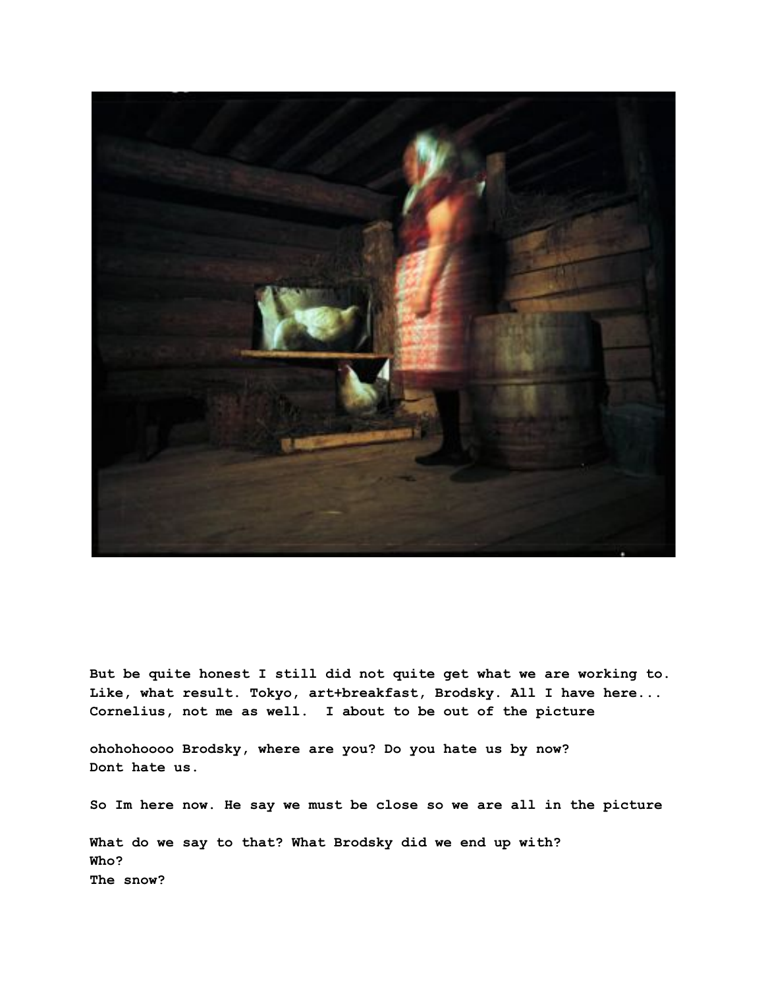

**But be quite honest I still did not quite get what we are working to. Like, what result. Tokyo, art+breakfast, Brodsky. All I have here... Cornelius, not me as well. I about to be out of the picture**

**ohohohoooo Brodsky, where are you? Do you hate us by now? Dont hate us.**

**So Im here now. He say we must be close so we are all in the picture**

**What do we say to that? What Brodsky did we end up with? Who? The snow?**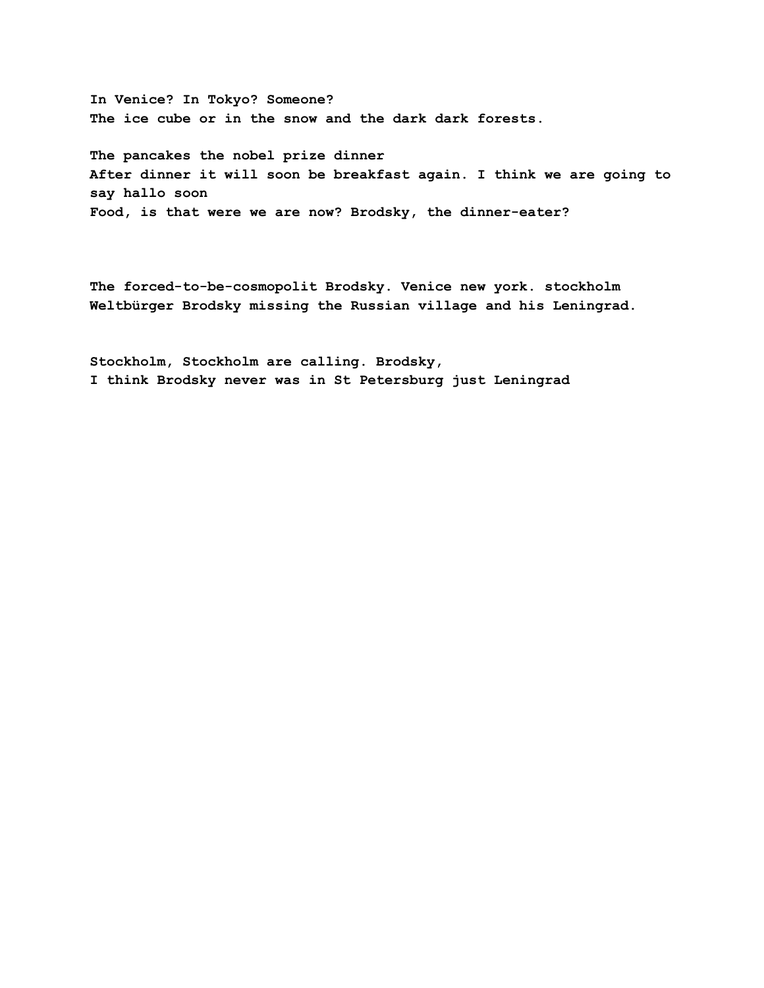**In Venice? In Tokyo? Someone? The ice cube or in the snow and the dark dark forests.**

**The pancakes the nobel prize dinner After dinner it will soon be breakfast again. I think we are going to say hallo soon Food, is that were we are now? Brodsky, the dinner-eater?**

**The forced-to-be-cosmopolit Brodsky. Venice new york. stockholm Weltbürger Brodsky missing the Russian village and his Leningrad.**

**Stockholm, Stockholm are calling. Brodsky, I think Brodsky never was in St Petersburg just Leningrad**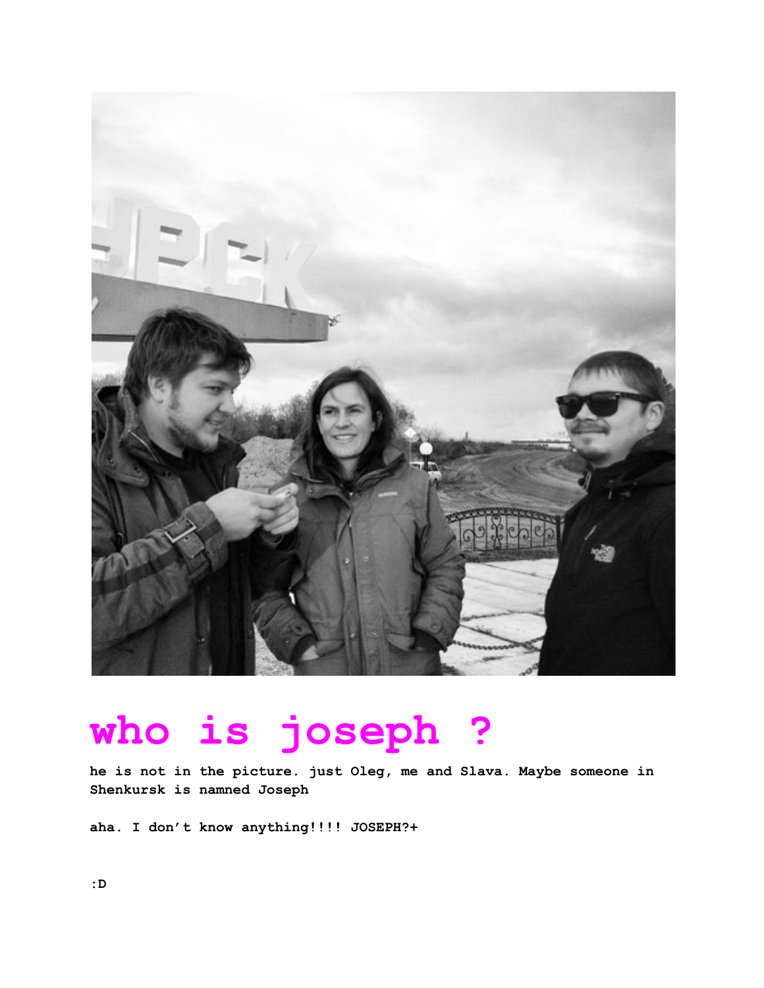

### **who is joseph ?**

**he is not in the picture. just Oleg, me and Slava. Maybe someone in Shenkursk is namned Joseph**

**aha. I don't know anything!!!! JOSEPH?+**